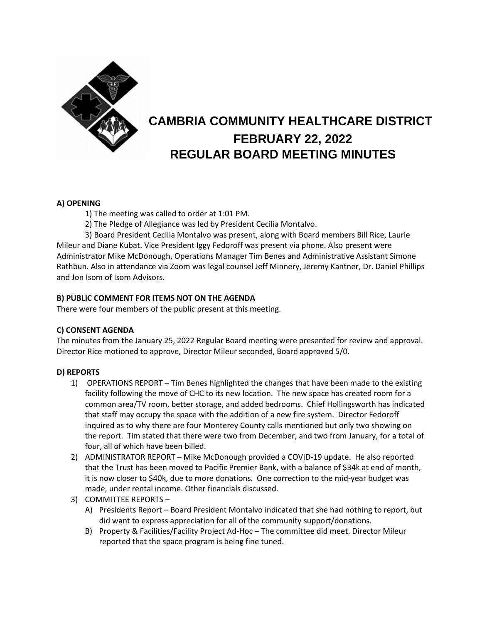

# **CAMBRIA COMMUNITY HEALTHCARE DISTRICT FEBRUARY 22, 2022 REGULAR BOARD MEETING MINUTES**

## **A) OPENING**

1) The meeting was called to order at 1:01 PM.

2) The Pledge of Allegiance was led by President Cecilia Montalvo.

3) Board President Cecilia Montalvo was present, along with Board members Bill Rice, Laurie Mileur and Diane Kubat. Vice President Iggy Fedoroff was present via phone. Also present were Administrator Mike McDonough, Operations Manager Tim Benes and Administrative Assistant Simone Rathbun. Also in attendance via Zoom was legal counsel Jeff Minnery, Jeremy Kantner, Dr. Daniel Phillips and Jon Isom of Isom Advisors.

## **B) PUBLIC COMMENT FOR ITEMS NOT ON THE AGENDA**

There were four members of the public present at this meeting.

## **C) CONSENT AGENDA**

The minutes from the January 25, 2022 Regular Board meeting were presented for review and approval. Director Rice motioned to approve, Director Mileur seconded, Board approved 5/0.

## **D) REPORTS**

- 1) OPERATIONS REPORT Tim Benes highlighted the changes that have been made to the existing facility following the move of CHC to its new location. The new space has created room for a common area/TV room, better storage, and added bedrooms. Chief Hollingsworth has indicated that staff may occupy the space with the addition of a new fire system. Director Fedoroff inquired as to why there are four Monterey County calls mentioned but only two showing on the report. Tim stated that there were two from December, and two from January, for a total of four, all of which have been billed.
- 2) ADMINISTRATOR REPORT Mike McDonough provided a COVID-19 update. He also reported that the Trust has been moved to Pacific Premier Bank, with a balance of \$34k at end of month, it is now closer to \$40k, due to more donations. One correction to the mid-year budget was made, under rental income. Other financials discussed.
- 3) COMMITTEE REPORTS
	- A) Presidents Report Board President Montalvo indicated that she had nothing to report, but did want to express appreciation for all of the community support/donations.
	- B) Property & Facilities/Facility Project Ad-Hoc The committee did meet. Director Mileur reported that the space program is being fine tuned.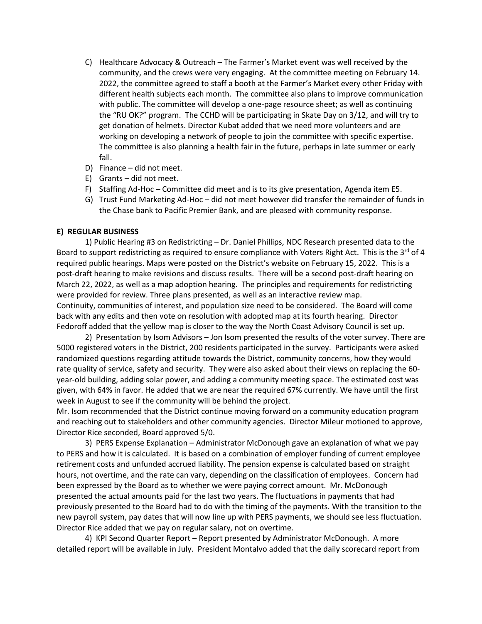- C) Healthcare Advocacy & Outreach The Farmer's Market event was well received by the community, and the crews were very engaging. At the committee meeting on February 14. 2022, the committee agreed to staff a booth at the Farmer's Market every other Friday with different health subjects each month. The committee also plans to improve communication with public. The committee will develop a one-page resource sheet; as well as continuing the "RU OK?" program. The CCHD will be participating in Skate Day on 3/12, and will try to get donation of helmets. Director Kubat added that we need more volunteers and are working on developing a network of people to join the committee with specific expertise. The committee is also planning a health fair in the future, perhaps in late summer or early fall.
- D) Finance did not meet.
- E) Grants did not meet.
- F) Staffing Ad-Hoc Committee did meet and is to its give presentation, Agenda item E5.
- G) Trust Fund Marketing Ad-Hoc did not meet however did transfer the remainder of funds in the Chase bank to Pacific Premier Bank, and are pleased with community response.

#### **E) REGULAR BUSINESS**

1) Public Hearing #3 on Redistricting – Dr. Daniel Phillips, NDC Research presented data to the Board to support redistricting as required to ensure compliance with Voters Right Act. This is the  $3^{rd}$  of 4 required public hearings. Maps were posted on the District's website on February 15, 2022. This is a post-draft hearing to make revisions and discuss results. There will be a second post-draft hearing on March 22, 2022, as well as a map adoption hearing. The principles and requirements for redistricting were provided for review. Three plans presented, as well as an interactive review map. Continuity, communities of interest, and population size need to be considered. The Board will come back with any edits and then vote on resolution with adopted map at its fourth hearing. Director Fedoroff added that the yellow map is closer to the way the North Coast Advisory Council is set up.

2) Presentation by Isom Advisors – Jon Isom presented the results of the voter survey. There are 5000 registered voters in the District, 200 residents participated in the survey. Participants were asked randomized questions regarding attitude towards the District, community concerns, how they would rate quality of service, safety and security. They were also asked about their views on replacing the 60 year-old building, adding solar power, and adding a community meeting space. The estimated cost was given, with 64% in favor. He added that we are near the required 67% currently. We have until the first week in August to see if the community will be behind the project.

Mr. Isom recommended that the District continue moving forward on a community education program and reaching out to stakeholders and other community agencies. Director Mileur motioned to approve, Director Rice seconded, Board approved 5/0.

3) PERS Expense Explanation – Administrator McDonough gave an explanation of what we pay to PERS and how it is calculated. It is based on a combination of employer funding of current employee retirement costs and unfunded accrued liability. The pension expense is calculated based on straight hours, not overtime, and the rate can vary, depending on the classification of employees. Concern had been expressed by the Board as to whether we were paying correct amount. Mr. McDonough presented the actual amounts paid for the last two years. The fluctuations in payments that had previously presented to the Board had to do with the timing of the payments. With the transition to the new payroll system, pay dates that will now line up with PERS payments, we should see less fluctuation. Director Rice added that we pay on regular salary, not on overtime.

4) KPI Second Quarter Report – Report presented by Administrator McDonough. A more detailed report will be available in July. President Montalvo added that the daily scorecard report from